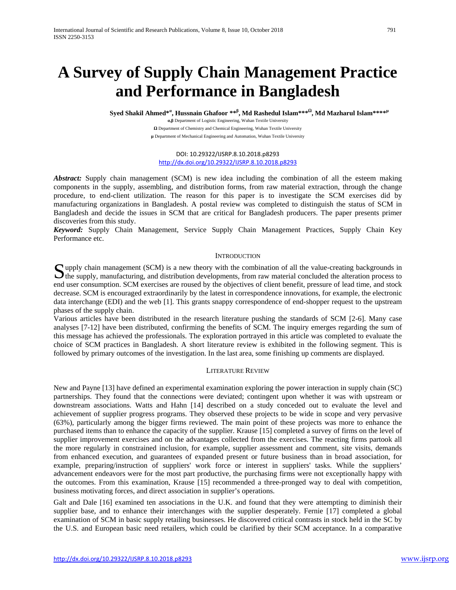# **A Survey of Supply Chain Management Practice and Performance in Bangladesh**

 $\mathbf{S}$ yed Shakil Ahmed\*<sup>a</sup>, Hussnain Ghafoor \*\* $^{\beta}$ , Md Rashedul Islam\*\*\* $^{\Omega}$ , Md Mazharul Islam\*\*\*\* $^{\mu}$ 

**α,β** Department of Logistic Engineering, Wuhan Textile University **Ω** Department of Chemistry and Chemical Engineering, Wuhan Textile University **µ** Department of Mechanical Engineering and Automation, Wuhan Textile University

DOI: 10.29322/IJSRP.8.10.2018.p8293 <http://dx.doi.org/10.29322/IJSRP.8.10.2018.p8293>

*Abstract:* Supply chain management (SCM) is new idea including the combination of all the esteem making components in the supply, assembling, and distribution forms, from raw material extraction, through the change procedure, to end-client utilization. The reason for this paper is to investigate the SCM exercises did by manufacturing organizations in Bangladesh. A postal review was completed to distinguish the status of SCM in Bangladesh and decide the issues in SCM that are critical for Bangladesh producers. The paper presents primer discoveries from this study.

*Keyword:* Supply Chain Management, Service Supply Chain Management Practices, Supply Chain Key Performance etc.

## **INTRODUCTION**

 $\bf{C}$  upply chain management (SCM) is a new theory with the combination of all the value-creating backgrounds in Supply chain management (SCM) is a new theory with the combination of all the value-creating backgrounds in the supply, manufacturing, and distribution developments, from raw material concluded the alteration process to end user consumption. SCM exercises are roused by the objectives of client benefit, pressure of lead time, and stock decrease. SCM is encouraged extraordinarily by the latest in correspondence innovations, for example, the electronic data interchange (EDI) and the web [\[1\]](#page-6-0). This grants snappy correspondence of end-shopper request to the upstream phases of the supply chain.

Various articles have been distributed in the research literature pushing the standards of SCM [\[2-6\]](#page-6-1). Many case analyses [\[7-12\]](#page-6-2) have been distributed, confirming the benefits of SCM. The inquiry emerges regarding the sum of this message has achieved the professionals. The exploration portrayed in this article was completed to evaluate the choice of SCM practices in Bangladesh. A short literature review is exhibited in the following segment. This is followed by primary outcomes of the investigation. In the last area, some finishing up comments are displayed.

## LITERATURE REVIEW

New and Payne [\[13\]](#page-7-0) have defined an experimental examination exploring the power interaction in supply chain (SC) partnerships. They found that the connections were deviated; contingent upon whether it was with upstream or downstream associations. Watts and Hahn [\[14\]](#page-7-1) described on a study conceded out to evaluate the level and achievement of supplier progress programs. They observed these projects to be wide in scope and very pervasive (63%), particularly among the bigger firms reviewed. The main point of these projects was more to enhance the purchased items than to enhance the capacity of the supplier. Krause [\[15\]](#page-7-2) completed a survey of firms on the level of supplier improvement exercises and on the advantages collected from the exercises. The reacting firms partook all the more regularly in constrained inclusion, for example, supplier assessment and comment, site visits, demands from enhanced execution, and guarantees of expanded present or future business than in broad association, for example, preparing/instruction of suppliers' work force or interest in suppliers' tasks. While the suppliers' advancement endeavors were for the most part productive, the purchasing firms were not exceptionally happy with the outcomes. From this examination, Krause [\[15\]](#page-7-2) recommended a three-pronged way to deal with competition, business motivating forces, and direct association in supplier's operations.

Galt and Dale [\[16\]](#page-7-3) examined ten associations in the U.K. and found that they were attempting to diminish their supplier base, and to enhance their interchanges with the supplier desperately. Fernie [\[17\]](#page-7-4) completed a global examination of SCM in basic supply retailing businesses. He discovered critical contrasts in stock held in the SC by the U.S. and European basic need retailers, which could be clarified by their SCM acceptance. In a comparative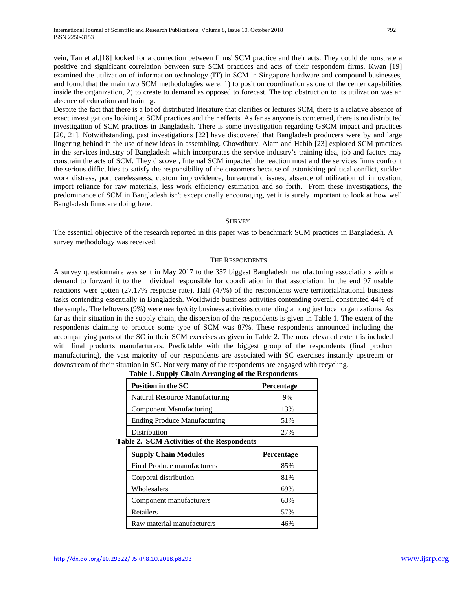vein, Tan et al.[\[18\]](#page-7-5) looked for a connection between firms' SCM practice and their acts. They could demonstrate a positive and significant correlation between sure SCM practices and acts of their respondent firms. Kwan [\[19\]](#page-7-6) examined the utilization of information technology (IT) in SCM in Singapore hardware and compound businesses, and found that the main two SCM methodologies were: 1) to position coordination as one of the center capabilities inside the organization, 2) to create to demand as opposed to forecast. The top obstruction to its utilization was an absence of education and training.

Despite the fact that there is a lot of distributed literature that clarifies or lectures SCM, there is a relative absence of exact investigations looking at SCM practices and their effects. As far as anyone is concerned, there is no distributed investigation of SCM practices in Bangladesh. There is some investigation regarding GSCM impact and practices [\[20,](#page-7-7) [21\]](#page-7-8). Notwithstanding, past investigations [\[22\]](#page-7-9) have discovered that Bangladesh producers were by and large lingering behind in the use of new ideas in assembling. Chowdhury, Alam and Habib [\[23\]](#page-7-10) explored SCM practices in the services industry of Bangladesh which incorporates the service industry's training idea, job and factors may constrain the acts of SCM. They discover, Internal SCM impacted the reaction most and the services firms confront the serious difficulties to satisfy the responsibility of the customers because of astonishing political conflict, sudden work distress, port carelessness, custom improvidence, bureaucratic issues, absence of utilization of innovation, import reliance for raw materials, less work efficiency estimation and so forth. From these investigations, the predominance of SCM in Bangladesh isn't exceptionally encouraging, yet it is surely important to look at how well Bangladesh firms are doing here.

#### **SURVEY**

The essential objective of the research reported in this paper was to benchmark SCM practices in Bangladesh. A survey methodology was received.

### THE RESPONDENTS

A survey questionnaire was sent in May 2017 to the 357 biggest Bangladesh manufacturing associations with a demand to forward it to the individual responsible for coordination in that association. In the end 97 usable reactions were gotten (27.17% response rate). Half (47%) of the respondents were territorial/national business tasks contending essentially in Bangladesh. Worldwide business activities contending overall constituted 44% of the sample. The leftovers (9%) were nearby/city business activities contending among just local organizations. As far as their situation in the supply chain, the dispersion of the respondents is given in Table 1. The extent of the respondents claiming to practice some type of SCM was 87%. These respondents announced including the accompanying parts of the SC in their SCM exercises as given in Table 2. The most elevated extent is included with final products manufacturers. Predictable with the biggest group of the respondents (final product manufacturing), the vast majority of our respondents are associated with SC exercises instantly upstream or downstream of their situation in SC. Not very many of the respondents are engaged with recycling.

|                                            | <b>Position in the SC</b>           | Percentage |  |  |
|--------------------------------------------|-------------------------------------|------------|--|--|
|                                            | Natural Resource Manufacturing      | 9%         |  |  |
|                                            | <b>Component Manufacturing</b>      | 13%        |  |  |
|                                            | <b>Ending Produce Manufacturing</b> | 51%        |  |  |
|                                            | Distribution                        | 27%        |  |  |
| Table 2. SCM Activities of the Respondents |                                     |            |  |  |
|                                            | <b>Supply Chain Modules</b>         | Percentage |  |  |
|                                            | Final Produce manufacturers         | 85%        |  |  |
|                                            | Corporal distribution               | 81%        |  |  |
|                                            | Wholesalers                         | 69%        |  |  |
|                                            | Component manufacturers             | 63%        |  |  |
|                                            |                                     |            |  |  |

Retailers 57% Raw material manufacturers and the 46%

### **Table 1. Supply Chain Arranging of the Respondents**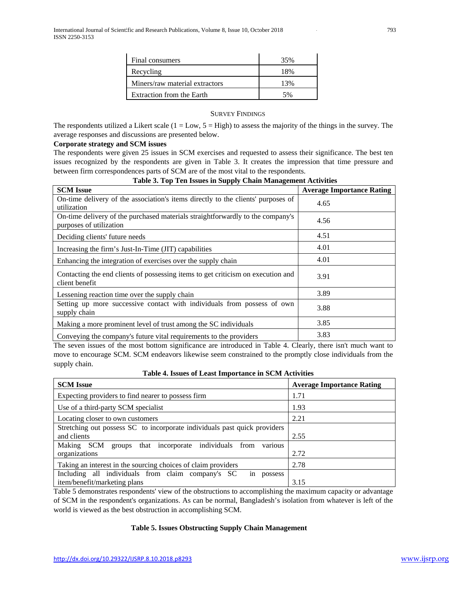| Final consumers                | 35% |
|--------------------------------|-----|
| Recycling                      | 18% |
| Miners/raw material extractors | 13% |
| Extraction from the Earth      |     |

## SURVEY FINDINGS

The respondents utilized a Likert scale  $(1 = Low, 5 = High)$  to assess the majority of the things in the survey. The average responses and discussions are presented below.

## **Corporate strategy and SCM issues**

The respondents were given 25 issues in SCM exercises and requested to assess their significance. The best ten issues recognized by the respondents are given in Table 3. It creates the impression that time pressure and between firm correspondences parts of SCM are of the most vital to the respondents.

| <b>SCM</b> Issue                                                                                          | <b>Average Importance Rating</b> |
|-----------------------------------------------------------------------------------------------------------|----------------------------------|
| On-time delivery of the association's items directly to the clients' purposes of<br>utilization           | 4.65                             |
| On-time delivery of the purchased materials straightforwardly to the company's<br>purposes of utilization | 4.56                             |
| Deciding clients' future needs                                                                            | 4.51                             |
| Increasing the firm's Just-In-Time (JIT) capabilities                                                     | 4.01                             |
| Enhancing the integration of exercises over the supply chain                                              | 4.01                             |
| Contacting the end clients of possessing items to get criticism on execution and<br>client benefit        | 3.91                             |
| Lessening reaction time over the supply chain                                                             | 3.89                             |
| Setting up more successive contact with individuals from possess of own<br>supply chain                   | 3.88                             |
| Making a more prominent level of trust among the SC individuals                                           | 3.85                             |
| Conveying the company's future vital requirements to the providers                                        | 3.83                             |

# **Table 3. Top Ten Issues in Supply Chain Management Activities**

The seven issues of the most bottom significance are introduced in Table 4. Clearly, there isn't much want to move to encourage SCM. SCM endeavors likewise seem constrained to the promptly close individuals from the supply chain.

**Table 4. Issues of Least Importance in SCM Activities**

| <b>SCM</b> Issue                                                            | <b>Average Importance Rating</b> |
|-----------------------------------------------------------------------------|----------------------------------|
| Expecting providers to find nearer to possess firm                          | 1.71                             |
| Use of a third-party SCM specialist                                         | 1.93                             |
| Locating closer to own customers                                            | 2.21                             |
| Stretching out possess SC to incorporate individuals past quick providers   |                                  |
| and clients                                                                 | 2.55                             |
| various<br>Making<br>groups that incorporate individuals from<br><b>SCM</b> |                                  |
| organizations                                                               | 2.72                             |
| Taking an interest in the sourcing choices of claim providers               | 2.78                             |
| Including all individuals from claim company's SC<br>possess<br>1n          |                                  |
| item/benefit/marketing plans                                                | 3.15                             |

Table 5 demonstrates respondents' view of the obstructions to accomplishing the maximum capacity or advantage of SCM in the respondent's organizations. As can be normal, Bangladesh's isolation from whatever is left of the world is viewed as the best obstruction in accomplishing SCM.

# **Table 5. Issues Obstructing Supply Chain Management**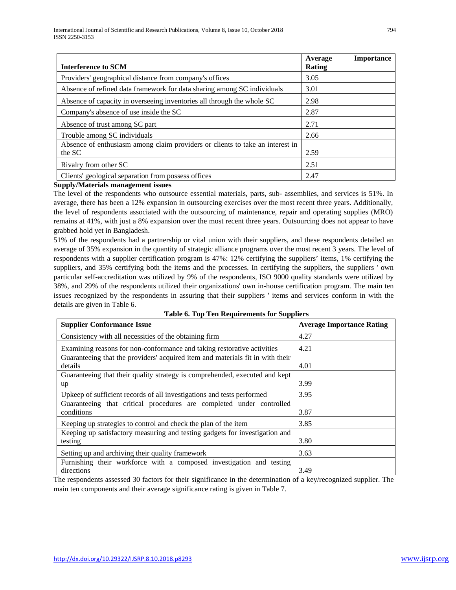| <b>Interference to SCM</b>                                                              | Average<br>Rating | <b>Importance</b> |
|-----------------------------------------------------------------------------------------|-------------------|-------------------|
| Providers' geographical distance from company's offices                                 | 3.05              |                   |
| Absence of refined data framework for data sharing among SC individuals                 | 3.01              |                   |
| Absence of capacity in overseeing inventories all through the whole SC                  | 2.98              |                   |
| Company's absence of use inside the SC                                                  |                   |                   |
| Absence of trust among SC part                                                          | 2.71              |                   |
| Trouble among SC individuals                                                            | 2.66              |                   |
| Absence of enthusiasm among claim providers or clients to take an interest in<br>the SC | 2.59              |                   |
| Rivalry from other SC                                                                   | 2.51              |                   |
| Clients' geological separation from possess offices                                     | 2.47              |                   |

## **Supply/Materials management issues**

The level of the respondents who outsource essential materials, parts, sub- assemblies, and services is 51%. In average, there has been a 12% expansion in outsourcing exercises over the most recent three years. Additionally, the level of respondents associated with the outsourcing of maintenance, repair and operating supplies (MRO) remains at 41%, with just a 8% expansion over the most recent three years. Outsourcing does not appear to have grabbed hold yet in Bangladesh.

51% of the respondents had a partnership or vital union with their suppliers, and these respondents detailed an average of 35% expansion in the quantity of strategic alliance programs over the most recent 3 years. The level of respondents with a supplier certification program is 47%: 12% certifying the suppliers' items, 1% certifying the suppliers, and 35% certifying both the items and the processes. In certifying the suppliers, the suppliers ' own particular self-accreditation was utilized by 9% of the respondents, ISO 9000 quality standards were utilized by 38%, and 29% of the respondents utilized their organizations' own in-house certification program. The main ten issues recognized by the respondents in assuring that their suppliers ' items and services conform in with the details are given in Table 6.

| <b>Supplier Conformance Issue</b>                                              | <b>Average Importance Rating</b> |
|--------------------------------------------------------------------------------|----------------------------------|
| Consistency with all necessities of the obtaining firm                         | 4.27                             |
| Examining reasons for non-conformance and taking restorative activities        | 4.21                             |
| Guaranteeing that the providers' acquired item and materials fit in with their |                                  |
| details                                                                        | 4.01                             |
| Guaranteeing that their quality strategy is comprehended, executed and kept    |                                  |
| up                                                                             | 3.99                             |
| Upkeep of sufficient records of all investigations and tests performed         | 3.95                             |
| Guaranteeing that critical procedures are completed under controlled           |                                  |
| conditions                                                                     | 3.87                             |
| Keeping up strategies to control and check the plan of the item                | 3.85                             |
| Keeping up satisfactory measuring and testing gadgets for investigation and    |                                  |
| testing                                                                        | 3.80                             |
| Setting up and archiving their quality framework                               | 3.63                             |
| Furnishing their workforce with a composed investigation and testing           |                                  |
| directions                                                                     | 3.49                             |

**Table 6. Top Ten Requirements for Suppliers**

The respondents assessed 30 factors for their significance in the determination of a key/recognized supplier. The main ten components and their average significance rating is given in Table 7.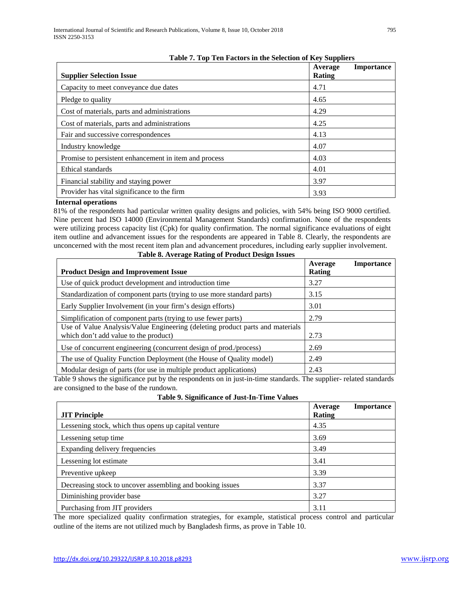| <b>Supplier Selection Issue</b>                       | - , – – r r –<br>Average<br>Rating | <b>Importance</b> |
|-------------------------------------------------------|------------------------------------|-------------------|
| Capacity to meet conveyance due dates                 | 4.71                               |                   |
| Pledge to quality                                     | 4.65                               |                   |
| Cost of materials, parts and administrations          | 4.29                               |                   |
| Cost of materials, parts and administrations          | 4.25                               |                   |
| Fair and successive correspondences                   | 4.13                               |                   |
| Industry knowledge                                    | 4.07                               |                   |
| Promise to persistent enhancement in item and process | 4.03                               |                   |
| Ethical standards                                     | 4.01                               |                   |
| Financial stability and staying power                 | 3.97                               |                   |
| Provider has vital significance to the firm           | 3.93                               |                   |

## **Internal operations**

81% of the respondents had particular written quality designs and policies, with 54% being ISO 9000 certified. Nine percent had ISO 14000 (Environmental Management Standards) confirmation. None of the respondents were utilizing process capacity list (Cpk) for quality confirmation. The normal significance evaluations of eight item outline and advancement issues for the respondents are appeared in Table 8. Clearly, the respondents are unconcerned with the most recent item plan and advancement procedures, including early supplier involvement.

|                                                                               | Average       | <b>Importance</b> |
|-------------------------------------------------------------------------------|---------------|-------------------|
| <b>Product Design and Improvement Issue</b>                                   | <b>Rating</b> |                   |
| Use of quick product development and introduction time                        | 3.27          |                   |
| Standardization of component parts (trying to use more standard parts)        | 3.15          |                   |
| Early Supplier Involvement (in your firm's design efforts)                    | 3.01          |                   |
| Simplification of component parts (trying to use fewer parts)                 | 2.79          |                   |
| Use of Value Analysis/Value Engineering (deleting product parts and materials |               |                   |
| which don't add value to the product)                                         | 2.73          |                   |
| Use of concurrent engineering (concurrent design of prod./process)            | 2.69          |                   |
| The use of Quality Function Deployment (the House of Quality model)           | 2.49          |                   |
| Modular design of parts (for use in multiple product applications)            | 2.43          |                   |

**Table 8. Average Rating of Product Design Issues**

Table 9 shows the significance put by the respondents on in just-in-time standards. The supplier- related standards are consigned to the base of the rundown.

| Table 9. Significance of Just-In-Time Values |  |  |
|----------------------------------------------|--|--|
|                                              |  |  |

|                                                           | <b>Importance</b><br>Average |
|-----------------------------------------------------------|------------------------------|
| <b>JIT Principle</b>                                      | Rating                       |
| Lessening stock, which thus opens up capital venture      | 4.35                         |
| Lessening setup time                                      | 3.69                         |
| Expanding delivery frequencies                            | 3.49                         |
| Lessening lot estimate                                    | 3.41                         |
| Preventive upkeep                                         | 3.39                         |
| Decreasing stock to uncover assembling and booking issues | 3.37                         |
| Diminishing provider base                                 | 3.27                         |
| Purchasing from JIT providers                             | 3.11                         |

The more specialized quality confirmation strategies, for example, statistical process control and particular outline of the items are not utilized much by Bangladesh firms, as prove in Table 10.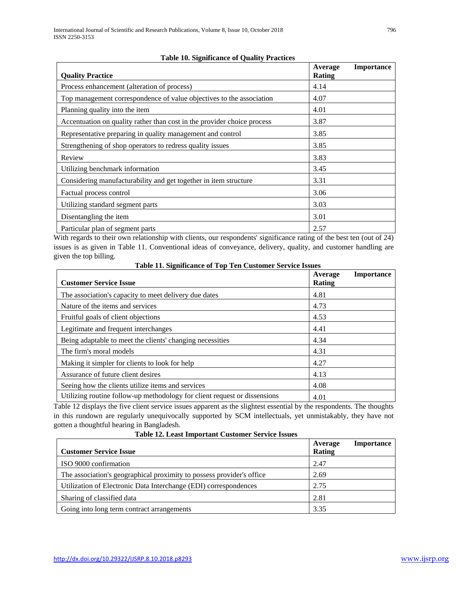| <b>Quality Practice</b>                                                 | Average<br>Rating | <b>Importance</b> |
|-------------------------------------------------------------------------|-------------------|-------------------|
| Process enhancement (alteration of process)                             | 4.14              |                   |
| Top management correspondence of value objectives to the association    | 4.07              |                   |
| Planning quality into the item                                          | 4.01              |                   |
| Accentuation on quality rather than cost in the provider choice process | 3.87              |                   |
| Representative preparing in quality management and control              | 3.85              |                   |
| Strengthening of shop operators to redress quality issues               | 3.85              |                   |
| Review                                                                  | 3.83              |                   |
| Utilizing benchmark information                                         | 3.45              |                   |
| Considering manufacturability and get together in item structure        | 3.31              |                   |
| Factual process control                                                 | 3.06              |                   |
| Utilizing standard segment parts                                        | 3.03              |                   |
| Disentangling the item                                                  | 3.01              |                   |
| Particular plan of segment parts                                        | 2.57              |                   |

# **Table 10. Significance of Quality Practices**

With regards to their own relationship with clients, our respondents' significance rating of the best ten (out of 24) issues is as given in Table 11. Conventional ideas of conveyance, delivery, quality, and customer handling are given the top billing.

**Table 11. Significance of Top Ten Customer Service Issues**

| <b>Customer Service Issue</b>                                             | Average<br><b>Rating</b> | <b>Importance</b> |
|---------------------------------------------------------------------------|--------------------------|-------------------|
| The association's capacity to meet delivery due dates                     | 4.81                     |                   |
| Nature of the items and services                                          | 4.73                     |                   |
| Fruitful goals of client objections                                       | 4.53                     |                   |
| Legitimate and frequent interchanges                                      | 4.41                     |                   |
| Being adaptable to meet the clients' changing necessities                 | 4.34                     |                   |
| The firm's moral models                                                   | 4.31                     |                   |
| Making it simpler for clients to look for help                            | 4.27                     |                   |
| Assurance of future client desires                                        | 4.13                     |                   |
| Seeing how the clients utilize items and services                         | 4.08                     |                   |
| Utilizing routine follow-up methodology for client request or dissensions | 4.01                     |                   |

Table 12 displays the five client service issues apparent as the slightest essential by the respondents. The thoughts in this rundown are regularly unequivocally supported by SCM intellectuals, yet unmistakably, they have not gotten a thoughtful hearing in Bangladesh.

| <b>Customer Service Issue</b>                                         | <b>Importance</b><br>Average<br>Rating |
|-----------------------------------------------------------------------|----------------------------------------|
| ISO 9000 confirmation                                                 | 2.47                                   |
| The association's geographical proximity to possess provider's office | 2.69                                   |
| Utilization of Electronic Data Interchange (EDI) correspondences      | 2.75                                   |
| Sharing of classified data                                            | 2.81                                   |
| Going into long term contract arrangements                            | 3.35                                   |

**Table 12. Least Important Customer Service Issues**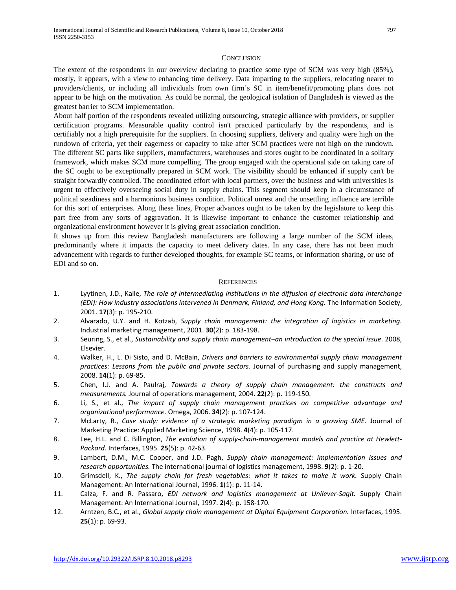#### **CONCLUSION**

The extent of the respondents in our overview declaring to practice some type of SCM was very high (85%), mostly, it appears, with a view to enhancing time delivery. Data imparting to the suppliers, relocating nearer to providers/clients, or including all individuals from own firm's SC in item/benefit/promoting plans does not appear to be high on the motivation. As could be normal, the geological isolation of Bangladesh is viewed as the greatest barrier to SCM implementation.

About half portion of the respondents revealed utilizing outsourcing, strategic alliance with providers, or supplier certification programs. Measurable quality control isn't practiced particularly by the respondents, and is certifiably not a high prerequisite for the suppliers. In choosing suppliers, delivery and quality were high on the rundown of criteria, yet their eagerness or capacity to take after SCM practices were not high on the rundown. The different SC parts like suppliers, manufacturers, warehouses and stores ought to be coordinated in a solitary framework, which makes SCM more compelling. The group engaged with the operational side on taking care of the SC ought to be exceptionally prepared in SCM work. The visibility should be enhanced if supply can't be straight forwardly controlled. The coordinated effort with local partners, over the business and with universities is urgent to effectively overseeing social duty in supply chains. This segment should keep in a circumstance of political steadiness and a harmonious business condition. Political unrest and the unsettling influence are terrible for this sort of enterprises. Along these lines, Proper advances ought to be taken by the legislature to keep this part free from any sorts of aggravation. It is likewise important to enhance the customer relationship and organizational environment however it is giving great association condition.

It shows up from this review Bangladesh manufacturers are following a large number of the SCM ideas, predominantly where it impacts the capacity to meet delivery dates. In any case, there has not been much advancement with regards to further developed thoughts, for example SC teams, or information sharing, or use of EDI and so on.

#### **REFERENCES**

- <span id="page-6-0"></span>1. Lyytinen, J.D., Kalle, *The role of intermediating institutions in the diffusion of electronic data interchange (EDI): How industry associations intervened in Denmark, Finland, and Hong Kong.* The Information Society, 2001. **17**(3): p. 195-210.
- <span id="page-6-1"></span>2. Alvarado, U.Y. and H. Kotzab, *Supply chain management: the integration of logistics in marketing.* Industrial marketing management, 2001. **30**(2): p. 183-198.
- 3. Seuring, S., et al., *Sustainability and supply chain management–an introduction to the special issue*. 2008, Elsevier.
- 4. Walker, H., L. Di Sisto, and D. McBain, *Drivers and barriers to environmental supply chain management practices: Lessons from the public and private sectors.* Journal of purchasing and supply management, 2008. **14**(1): p. 69-85.
- 5. Chen, I.J. and A. Paulraj, *Towards a theory of supply chain management: the constructs and measurements.* Journal of operations management, 2004. **22**(2): p. 119-150.
- 6. Li, S., et al., *The impact of supply chain management practices on competitive advantage and organizational performance.* Omega, 2006. **34**(2): p. 107-124.
- <span id="page-6-2"></span>7. McLarty, R., *Case study: evidence of a strategic marketing paradigm in a growing SME.* Journal of Marketing Practice: Applied Marketing Science, 1998. **4**(4): p. 105-117.
- 8. Lee, H.L. and C. Billington, *The evolution of supply-chain-management models and practice at Hewlett-Packard.* Interfaces, 1995. **25**(5): p. 42-63.
- 9. Lambert, D.M., M.C. Cooper, and J.D. Pagh, *Supply chain management: implementation issues and research opportunities.* The international journal of logistics management, 1998. **9**(2): p. 1-20.
- 10. Grimsdell, K., *The supply chain for fresh vegetables: what it takes to make it work.* Supply Chain Management: An International Journal, 1996. **1**(1): p. 11-14.
- 11. Calza, F. and R. Passaro, *EDI network and logistics management at Unilever-Sagit.* Supply Chain Management: An International Journal, 1997. **2**(4): p. 158-170.
- 12. Arntzen, B.C., et al., *Global supply chain management at Digital Equipment Corporation.* Interfaces, 1995. **25**(1): p. 69-93.